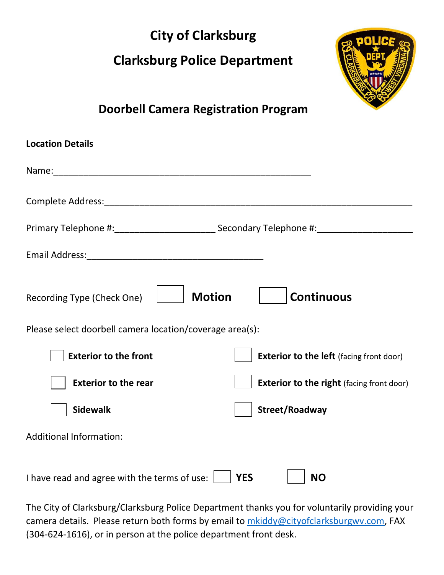## **City of Clarksburg**

# **Clarksburg Police Department**



### **Doorbell Camera Registration Program**

| <b>Location Details</b>                                                         |
|---------------------------------------------------------------------------------|
| Name: Name:                                                                     |
|                                                                                 |
|                                                                                 |
|                                                                                 |
| <b>Motion</b><br><b>Continuous</b><br>Recording Type (Check One)                |
| Please select doorbell camera location/coverage area(s):                        |
| <b>Exterior to the front</b><br><b>Exterior to the left</b> (facing front door) |
| <b>Exterior to the rear</b><br><b>Exterior to the right (facing front door)</b> |
| <b>Sidewalk</b><br>Street/Roadway                                               |
| <b>Additional Information:</b>                                                  |
| I have read and agree with the terms of use:<br><b>YES</b><br><b>NO</b>         |

The City of Clarksburg/Clarksburg Police Department thanks you for voluntarily providing your camera details. Please return both forms by email to [mkiddy@cityofclarksburgwv.com,](mailto:mkiddy@cityofclarksburgwv.com) FAX (304-624-1616), or in person at the police department front desk.